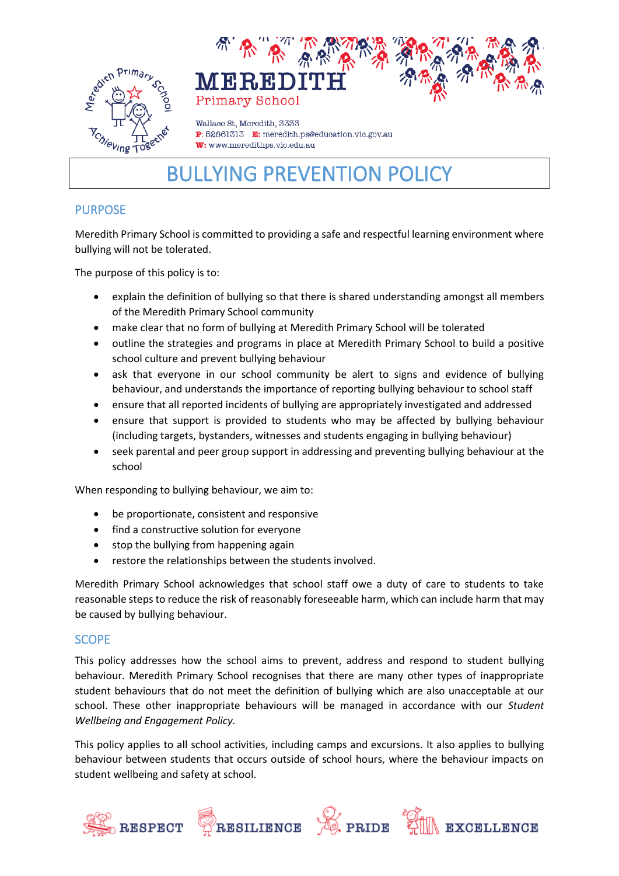



Wallace St. Meredith, 3333 P: 52861313 E: meredith.ps@education.vic.gov.au W: www.meredithps.vic.edu.au

# BULLYING PREVENTION POLICY

# PURPOSE

Meredith Primary School is committed to providing a safe and respectful learning environment where bullying will not be tolerated.

The purpose of this policy is to:

- explain the definition of bullying so that there is shared understanding amongst all members of the Meredith Primary School community
- make clear that no form of bullying at Meredith Primary School will be tolerated
- outline the strategies and programs in place at Meredith Primary School to build a positive school culture and prevent bullying behaviour
- ask that everyone in our school community be alert to signs and evidence of bullying behaviour, and understands the importance of reporting bullying behaviour to school staff
- ensure that all reported incidents of bullying are appropriately investigated and addressed
- ensure that support is provided to students who may be affected by bullying behaviour (including targets, bystanders, witnesses and students engaging in bullying behaviour)
- seek parental and peer group support in addressing and preventing bullying behaviour at the school

When responding to bullying behaviour, we aim to:

- be proportionate, consistent and responsive
- find a constructive solution for everyone
- stop the bullying from happening again
- restore the relationships between the students involved.

Meredith Primary School acknowledges that school staff owe a duty of care to students to take reasonable steps to reduce the risk of reasonably foreseeable harm, which can include harm that may be caused by bullying behaviour.

#### **SCOPE**

This policy addresses how the school aims to prevent, address and respond to student bullying behaviour. Meredith Primary School recognises that there are many other types of inappropriate student behaviours that do not meet the definition of bullying which are also unacceptable at our school. These other inappropriate behaviours will be managed in accordance with our *Student Wellbeing and Engagement Policy.*

This policy applies to all school activities, including camps and excursions. It also applies to bullying behaviour between students that occurs outside of school hours, where the behaviour impacts on student wellbeing and safety at school.

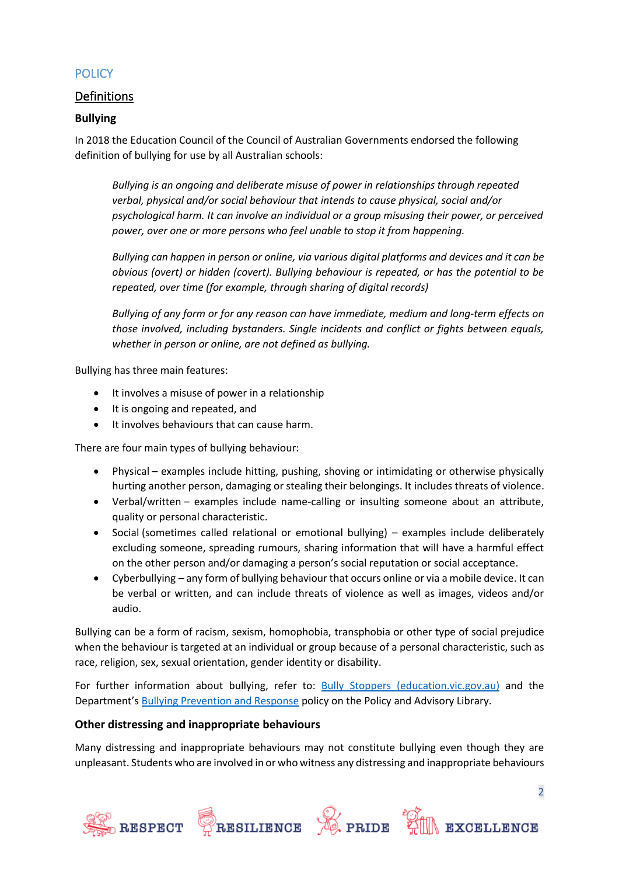# **POLICY**

# Definitions

#### **Bullying**

In 2018 the Education Council of the Council of Australian Governments endorsed the following definition of bullying for use by all Australian schools:

*Bullying is an ongoing and deliberate misuse of power in relationships through repeated verbal, physical and/or social behaviour that intends to cause physical, social and/or psychological harm. It can involve an individual or a group misusing their power, or perceived power, over one or more persons who feel unable to stop it from happening.*

*Bullying can happen in person or online, via various digital platforms and devices and it can be obvious (overt) or hidden (covert). Bullying behaviour is repeated, or has the potential to be repeated, over time (for example, through sharing of digital records)*

*Bullying of any form or for any reason can have immediate, medium and long-term effects on those involved, including bystanders. Single incidents and conflict or fights between equals, whether in person or online, are not defined as bullying.*

Bullying has three main features:

- It involves a misuse of power in a relationship
- It is ongoing and repeated, and
- It involves behaviours that can cause harm.

There are four main types of bullying behaviour:

- Physical examples include hitting, pushing, shoving or intimidating or otherwise physically hurting another person, damaging or stealing their belongings. It includes threats of violence.
- Verbal/written examples include name-calling or insulting someone about an attribute, quality or personal characteristic.
- Social (sometimes called relational or emotional bullying) examples include deliberately excluding someone, spreading rumours, sharing information that will have a harmful effect on the other person and/or damaging a person's social reputation or social acceptance.
- Cyberbullying any form of bullying behaviour that occurs online or via a mobile device. It can be verbal or written, and can include threats of violence as well as images, videos and/or audio.

Bullying can be a form of racism, sexism, homophobia, transphobia or other type of social prejudice when the behaviour is targeted at an individual or group because of a personal characteristic, such as race, religion, sex, sexual orientation, gender identity or disability.

For further information about bullying, refer to: [Bully Stoppers \(education.vic.gov.au\)](https://www.education.vic.gov.au/about/programs/bullystoppers/Pages/default.aspx) and the Department's **[Bullying Prevention and Response](https://www2.education.vic.gov.au/pal/bullying-prevention-response/policy) policy on the Policy and Advisory Library.** 

#### **Other distressing and inappropriate behaviours**

Many distressing and inappropriate behaviours may not constitute bullying even though they are unpleasant. Students who are involved in or who witness any distressing and inappropriate behaviours

2

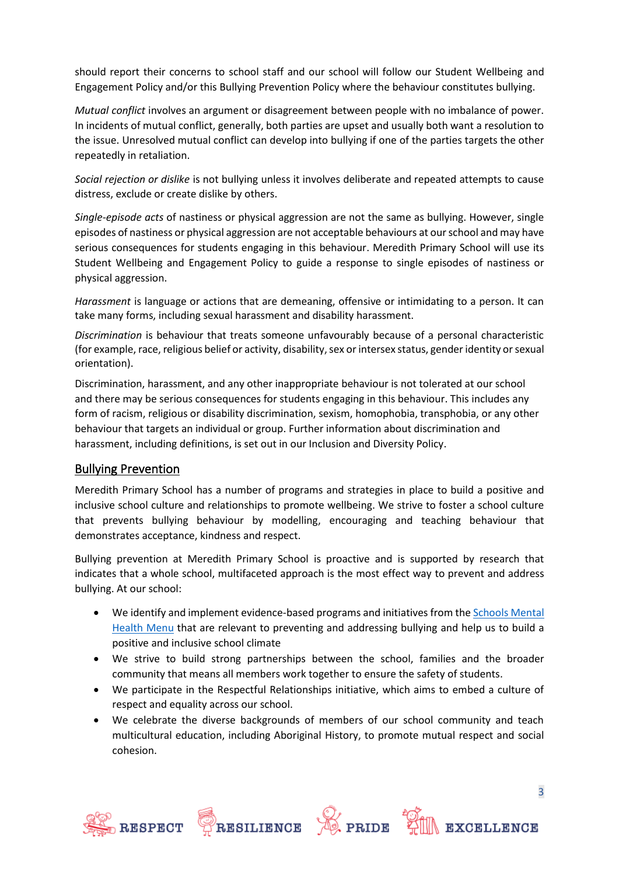should report their concerns to school staff and our school will follow our Student Wellbeing and Engagement Policy and/or this Bullying Prevention Policy where the behaviour constitutes bullying.

*Mutual conflict* involves an argument or disagreement between people with no imbalance of power. In incidents of mutual conflict, generally, both parties are upset and usually both want a resolution to the issue. Unresolved mutual conflict can develop into bullying if one of the parties targets the other repeatedly in retaliation.

*Social rejection or dislike* is not bullying unless it involves deliberate and repeated attempts to cause distress, exclude or create dislike by others.

*Single-episode acts* of nastiness or physical aggression are not the same as bullying. However, single episodes of nastiness or physical aggression are not acceptable behaviours at our school and may have serious consequences for students engaging in this behaviour. Meredith Primary School will use its Student Wellbeing and Engagement Policy to guide a response to single episodes of nastiness or physical aggression.

*Harassment* is language or actions that are demeaning, offensive or intimidating to a person. It can take many forms, including sexual harassment and disability harassment.

*Discrimination* is behaviour that treats someone unfavourably because of a personal characteristic (for example, race, religious belief or activity, disability, sex or intersex status, gender identity or sexual orientation).

Discrimination, harassment, and any other inappropriate behaviour is not tolerated at our school and there may be serious consequences for students engaging in this behaviour. This includes any form of racism, religious or disability discrimination, sexism, homophobia, transphobia, or any other behaviour that targets an individual or group. Further information about discrimination and harassment, including definitions, is set out in our Inclusion and Diversity Policy.

## Bullying Prevention

Meredith Primary School has a number of programs and strategies in place to build a positive and inclusive school culture and relationships to promote wellbeing. We strive to foster a school culture that prevents bullying behaviour by modelling, encouraging and teaching behaviour that demonstrates acceptance, kindness and respect.

Bullying prevention at Meredith Primary School is proactive and is supported by research that indicates that a whole school, multifaceted approach is the most effect way to prevent and address bullying. At our school:

- We identify and implement evidence-based programs and initiatives from th[e Schools Mental](https://www.education.vic.gov.au/school/teachers/health/mentalhealth/mental-health-menu/Pages/Menu.aspx?Redirect=1)  [Health Menu](https://www.education.vic.gov.au/school/teachers/health/mentalhealth/mental-health-menu/Pages/Menu.aspx?Redirect=1) that are relevant to preventing and addressing bullying and help us to build a positive and inclusive school climate
- We strive to build strong partnerships between the school, families and the broader community that means all members work together to ensure the safety of students.
- We participate in the Respectful Relationships initiative, which aims to embed a culture of respect and equality across our school.
- We celebrate the diverse backgrounds of members of our school community and teach multicultural education, including Aboriginal History, to promote mutual respect and social cohesion.







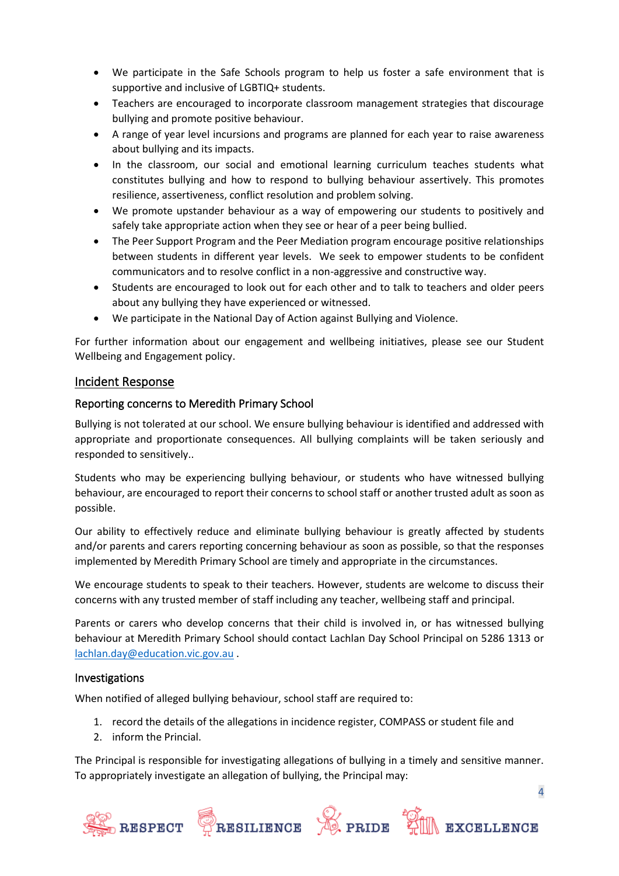- We participate in the Safe Schools program to help us foster a safe environment that is supportive and inclusive of LGBTIQ+ students.
- Teachers are encouraged to incorporate classroom management strategies that discourage bullying and promote positive behaviour.
- A range of year level incursions and programs are planned for each year to raise awareness about bullying and its impacts.
- In the classroom, our social and emotional learning curriculum teaches students what constitutes bullying and how to respond to bullying behaviour assertively. This promotes resilience, assertiveness, conflict resolution and problem solving.
- We promote upstander behaviour as a way of empowering our students to positively and safely take appropriate action when they see or hear of a peer being bullied.
- The Peer Support Program and the Peer Mediation program encourage positive relationships between students in different year levels. We seek to empower students to be confident communicators and to resolve conflict in a non-aggressive and constructive way.
- Students are encouraged to look out for each other and to talk to teachers and older peers about any bullying they have experienced or witnessed.
- We participate in the National Day of Action against Bullying and Violence.

For further information about our engagement and wellbeing initiatives, please see our Student Wellbeing and Engagement policy.

## Incident Response

#### Reporting concerns to Meredith Primary School

Bullying is not tolerated at our school. We ensure bullying behaviour is identified and addressed with appropriate and proportionate consequences. All bullying complaints will be taken seriously and responded to sensitively..

Students who may be experiencing bullying behaviour, or students who have witnessed bullying behaviour, are encouraged to report their concerns to school staff or another trusted adult as soon as possible.

Our ability to effectively reduce and eliminate bullying behaviour is greatly affected by students and/or parents and carers reporting concerning behaviour as soon as possible, so that the responses implemented by Meredith Primary School are timely and appropriate in the circumstances.

We encourage students to speak to their teachers. However, students are welcome to discuss their concerns with any trusted member of staff including any teacher, wellbeing staff and principal.

Parents or carers who develop concerns that their child is involved in, or has witnessed bullying behaviour at Meredith Primary School should contact Lachlan Day School Principal on 5286 1313 or [lachlan.day@education.vic.gov.au](mailto:lachlan.day@education.vic.gov.au) .

#### Investigations

When notified of alleged bullying behaviour, school staff are required to:

- 1. record the details of the allegations in incidence register, COMPASS or student file and
- 2. inform the Princial.

The Principal is responsible for investigating allegations of bullying in a timely and sensitive manner. To appropriately investigate an allegation of bullying, the Principal may:







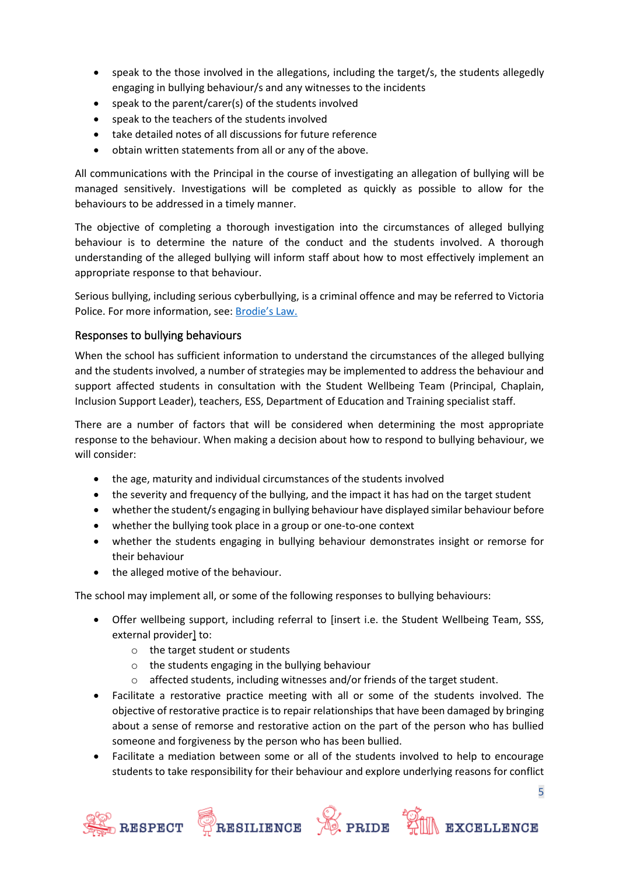- speak to the those involved in the allegations, including the target/s, the students allegedly engaging in bullying behaviour/s and any witnesses to the incidents
- speak to the parent/carer(s) of the students involved
- speak to the teachers of the students involved
- take detailed notes of all discussions for future reference
- obtain written statements from all or any of the above.

All communications with the Principal in the course of investigating an allegation of bullying will be managed sensitively. Investigations will be completed as quickly as possible to allow for the behaviours to be addressed in a timely manner.

The objective of completing a thorough investigation into the circumstances of alleged bullying behaviour is to determine the nature of the conduct and the students involved. A thorough understanding of the alleged bullying will inform staff about how to most effectively implement an appropriate response to that behaviour.

Serious bullying, including serious cyberbullying, is a criminal offence and may be referred to Victoria Police. For more information, see: [Brodie's Law.](http://www.education.vic.gov.au/about/programs/bullystoppers/Pages/advicesheetbrodieslaw.aspx)

## Responses to bullying behaviours

When the school has sufficient information to understand the circumstances of the alleged bullying and the students involved, a number of strategies may be implemented to address the behaviour and support affected students in consultation with the Student Wellbeing Team (Principal, Chaplain, Inclusion Support Leader), teachers, ESS, Department of Education and Training specialist staff.

There are a number of factors that will be considered when determining the most appropriate response to the behaviour. When making a decision about how to respond to bullying behaviour, we will consider:

- the age, maturity and individual circumstances of the students involved
- the severity and frequency of the bullying, and the impact it has had on the target student
- whether the student/s engaging in bullying behaviour have displayed similar behaviour before
- whether the bullying took place in a group or one-to-one context
- whether the students engaging in bullying behaviour demonstrates insight or remorse for their behaviour
- the alleged motive of the behaviour.

The school may implement all, or some of the following responses to bullying behaviours:

- Offer wellbeing support, including referral to [insert i.e. the Student Wellbeing Team, SSS, external provider] to:
	- o the target student or students
	- o the students engaging in the bullying behaviour
	- o affected students, including witnesses and/or friends of the target student.
- Facilitate a restorative practice meeting with all or some of the students involved. The objective of restorative practice is to repair relationships that have been damaged by bringing about a sense of remorse and restorative action on the part of the person who has bullied someone and forgiveness by the person who has been bullied.
- Facilitate a mediation between some or all of the students involved to help to encourage students to take responsibility for their behaviour and explore underlying reasons for conflict







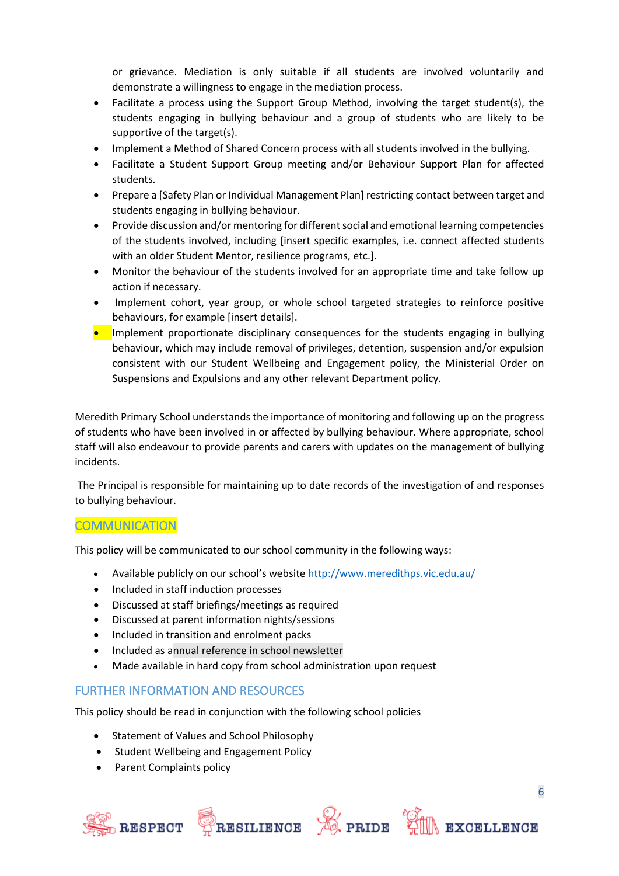or grievance. Mediation is only suitable if all students are involved voluntarily and demonstrate a willingness to engage in the mediation process.

- Facilitate a process using the Support Group Method, involving the target student(s), the students engaging in bullying behaviour and a group of students who are likely to be supportive of the target(s).
- Implement a Method of Shared Concern process with all students involved in the bullying.
- Facilitate a Student Support Group meeting and/or Behaviour Support Plan for affected students.
- Prepare a [Safety Plan or Individual Management Plan] restricting contact between target and students engaging in bullying behaviour.
- Provide discussion and/or mentoring for different social and emotional learning competencies of the students involved, including [insert specific examples, i.e. connect affected students with an older Student Mentor, resilience programs, etc.].
- Monitor the behaviour of the students involved for an appropriate time and take follow up action if necessary.
- Implement cohort, year group, or whole school targeted strategies to reinforce positive behaviours, for example [insert details].
- Implement proportionate disciplinary consequences for the students engaging in bullying behaviour, which may include removal of privileges, detention, suspension and/or expulsion consistent with our Student Wellbeing and Engagement policy, the Ministerial Order on Suspensions and Expulsions and any other relevant Department policy.

Meredith Primary School understands the importance of monitoring and following up on the progress of students who have been involved in or affected by bullying behaviour. Where appropriate, school staff will also endeavour to provide parents and carers with updates on the management of bullying incidents.

The Principal is responsible for maintaining up to date records of the investigation of and responses to bullying behaviour.

## **COMMUNICATION**

This policy will be communicated to our school community in the following ways:

- Available publicly on our school's website<http://www.meredithps.vic.edu.au/>
- Included in staff induction processes
- Discussed at staff briefings/meetings as required
- Discussed at parent information nights/sessions
- Included in transition and enrolment packs
- Included as annual reference in school newsletter
- Made available in hard copy from school administration upon request

## FURTHER INFORMATION AND RESOURCES

This policy should be read in conjunction with the following school policies

- Statement of Values and School Philosophy
- Student Wellbeing and Engagement Policy
- Parent Complaints policy